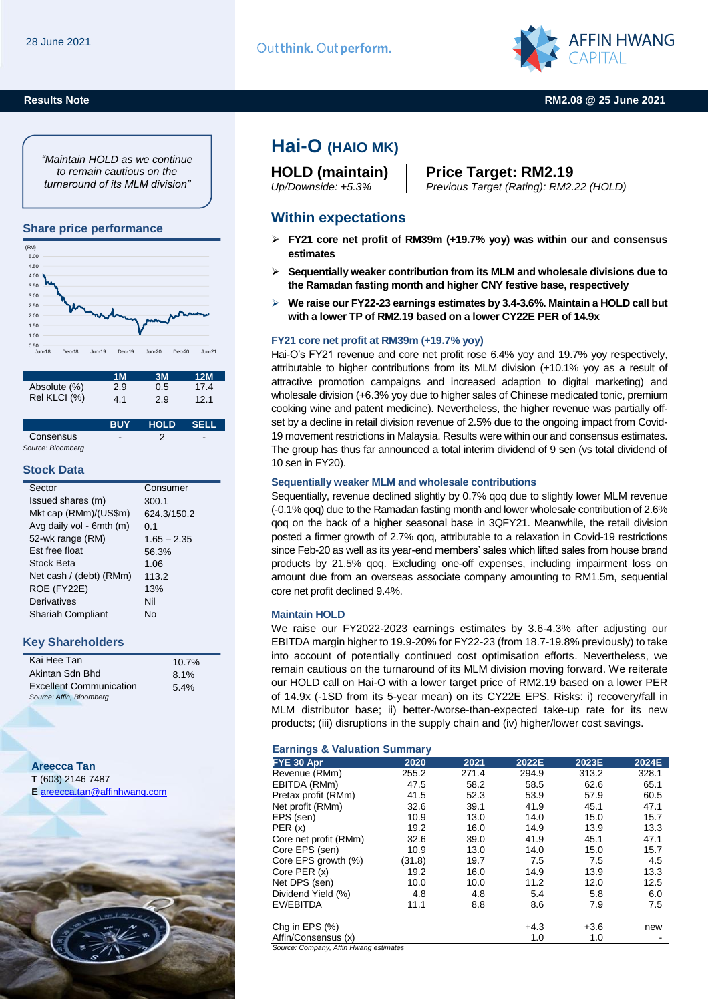**Results Note**



#### **RM2.08 @ 25 June 2021**

*"Maintain HOLD as we continue to remain cautious on the turnaround of its MLM division"*

#### **Share price performance**



|              | 1M  | 3M  | 12M  |
|--------------|-----|-----|------|
| Absolute (%) | 2.9 | 0.5 | 17.4 |
| Rel KLCI (%) | 4.1 | 2.9 | 12.1 |

|                   | <b>RUY</b> | <b>HOLD</b> | - SELL                   |
|-------------------|------------|-------------|--------------------------|
| Consensus         | -          |             | $\overline{\phantom{a}}$ |
| Source: Bloomberg |            |             |                          |

#### **Stock Data**

| Sector                   | Consumer      |
|--------------------------|---------------|
| Issued shares (m)        | 300.1         |
| Mkt cap (RMm)/(US\$m)    | 624.3/150.2   |
| Avg daily vol - 6mth (m) | 0.1           |
| 52-wk range (RM)         | $1.65 - 2.35$ |
| <b>Est free float</b>    | 56.3%         |
| Stock Beta               | 1.06          |
| Net cash / (debt) (RMm)  | 113.2         |
| ROE (FY22E)              | 13%           |
| <b>Derivatives</b>       | Nil           |
| <b>Shariah Compliant</b> | N٥            |
|                          |               |

### **Key Shareholders**

| Kai Hee Tan                    | 10.7% |
|--------------------------------|-------|
| Akintan Sdn Bhd                | 8.1%  |
| <b>Excellent Communication</b> | 5.4%  |
| Source: Affin, Bloomberg       |       |

**Areecca Tan T** (603) 2146 7487 **E** [areecca.tan@affinhwang.com](mailto:areecca.tan@affinhwang.com)



# **Hai-O (HAIO MK)**

## **HOLD (maintain) Price Target: RM2.19** *Up/Downside:* +*5.3% Previous Target (Rating): RM2.22 (HOLD)*

### **Within expectations**

- **FY21 core net profit of RM39m (+19.7% yoy) was within our and consensus estimates**
- **Sequentially weaker contribution from its MLM and wholesale divisions due to the Ramadan fasting month and higher CNY festive base, respectively**
- **We raise our FY22-23 earnings estimates by 3.4-3.6%. Maintain a HOLD call but with a lower TP of RM2.19 based on a lower CY22E PER of 14.9x**

#### **FY21 core net profit at RM39m (+19.7% yoy)**

Hai-O's FY21 revenue and core net profit rose 6.4% yoy and 19.7% yoy respectively, attributable to higher contributions from its MLM division (+10.1% yoy as a result of attractive promotion campaigns and increased adaption to digital marketing) and wholesale division (+6.3% yoy due to higher sales of Chinese medicated tonic, premium cooking wine and patent medicine). Nevertheless, the higher revenue was partially offset by a decline in retail division revenue of 2.5% due to the ongoing impact from Covid-19 movement restrictions in Malaysia. Results were within our and consensus estimates. The group has thus far announced a total interim dividend of 9 sen (vs total dividend of 10 sen in FY20).

### **Sequentially weaker MLM and wholesale contributions**

Sequentially, revenue declined slightly by 0.7% qoq due to slightly lower MLM revenue (-0.1% qoq) due to the Ramadan fasting month and lower wholesale contribution of 2.6% qoq on the back of a higher seasonal base in 3QFY21. Meanwhile, the retail division posted a firmer growth of 2.7% qoq, attributable to a relaxation in Covid-19 restrictions since Feb-20 as well as its year-end members' sales which lifted sales from house brand products by 21.5% qoq. Excluding one-off expenses, including impairment loss on amount due from an overseas associate company amounting to RM1.5m, sequential core net profit declined 9.4%.

#### **Maintain HOLD**

We raise our FY2022-2023 earnings estimates by 3.6-4.3% after adjusting our EBITDA margin higher to 19.9-20% for FY22-23 (from 18.7-19.8% previously) to take into account of potentially continued cost optimisation efforts. Nevertheless, we remain cautious on the turnaround of its MLM division moving forward. We reiterate our HOLD call on Hai-O with a lower target price of RM2.19 based on a lower PER of 14.9x (-1SD from its 5-year mean) on its CY22E EPS. Risks: i) recovery/fall in MLM distributor base; ii) better-/worse-than-expected take-up rate for its new products; (iii) disruptions in the supply chain and (iv) higher/lower cost savings.

#### **Earnings & Valuation Summary**

| FYE 30 Apr                             | 2020   | 2021  | 2022E  | 2023E  | 2024E |
|----------------------------------------|--------|-------|--------|--------|-------|
| Revenue (RMm)                          | 255.2  | 271.4 | 294.9  | 313.2  | 328.1 |
| EBITDA (RMm)                           | 47.5   | 58.2  | 58.5   | 62.6   | 65.1  |
| Pretax profit (RMm)                    | 41.5   | 52.3  | 53.9   | 57.9   | 60.5  |
| Net profit (RMm)                       | 32.6   | 39.1  | 41.9   | 45.1   | 47.1  |
| EPS (sen)                              | 10.9   | 13.0  | 14.0   | 15.0   | 15.7  |
| PER(x)                                 | 19.2   | 16.0  | 14.9   | 13.9   | 13.3  |
| Core net profit (RMm)                  | 32.6   | 39.0  | 41.9   | 45.1   | 47.1  |
| Core EPS (sen)                         | 10.9   | 13.0  | 14.0   | 15.0   | 15.7  |
| Core EPS growth (%)                    | (31.8) | 19.7  | 7.5    | 7.5    | 4.5   |
| Core PER (x)                           | 19.2   | 16.0  | 14.9   | 13.9   | 13.3  |
| Net DPS (sen)                          | 10.0   | 10.0  | 11.2   | 12.0   | 12.5  |
| Dividend Yield (%)                     | 4.8    | 4.8   | 5.4    | 5.8    | 6.0   |
| EV/EBITDA                              | 11.1   | 8.8   | 8.6    | 7.9    | 7.5   |
| Chg in EPS (%)                         |        |       | $+4.3$ | $+3.6$ | new   |
| Affin/Consensus (x)                    |        |       | 1.0    | 1.0    |       |
| Source: Company, Affin Hwang estimates |        |       |        |        |       |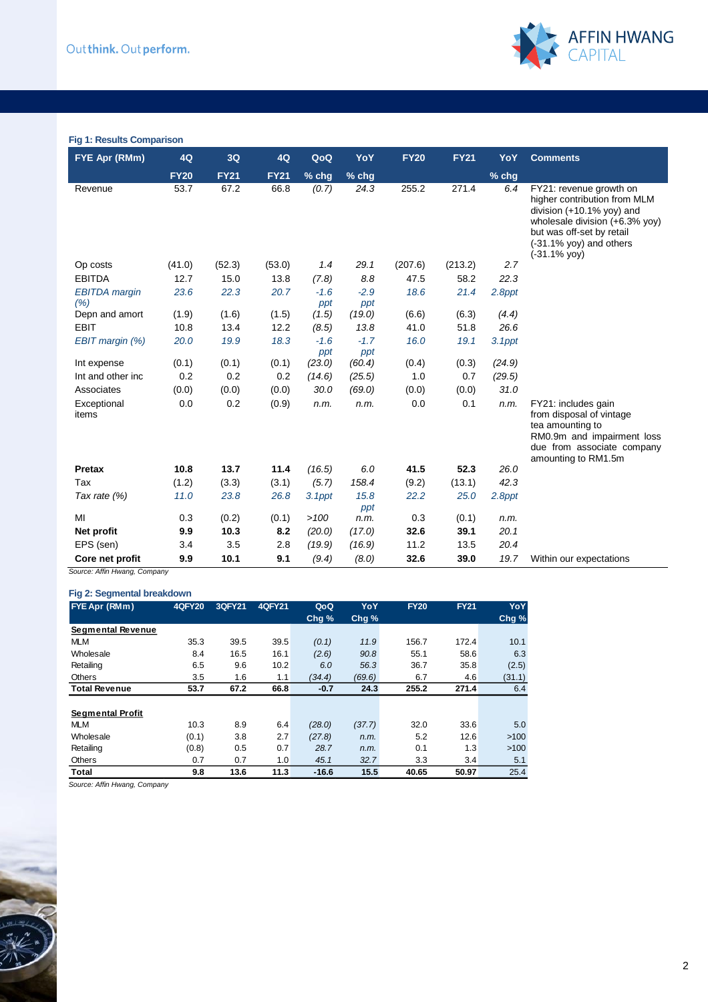

#### **Fig 1: Results Comparison**

| FYE Apr (RMm)                | 4Q          | 3Q          | 4Q          | QoQ           | YoY           | <b>FY20</b> | <b>FY21</b> | YoY    | <b>Comments</b>                                                                                                                                                                                      |
|------------------------------|-------------|-------------|-------------|---------------|---------------|-------------|-------------|--------|------------------------------------------------------------------------------------------------------------------------------------------------------------------------------------------------------|
|                              | <b>FY20</b> | <b>FY21</b> | <b>FY21</b> | % chg         | $%$ chg       |             |             | % chg  |                                                                                                                                                                                                      |
| Revenue                      | 53.7        | 67.2        | 66.8        | (0.7)         | 24.3          | 255.2       | 271.4       | 6.4    | FY21: revenue growth on<br>higher contribution from MLM<br>division $(+10.1\%$ yoy) and<br>wholesale division (+6.3% yoy)<br>but was off-set by retail<br>$(-31.1\%$ yoy) and others<br>(-31.1% yoy) |
| Op costs                     | (41.0)      | (52.3)      | (53.0)      | 1.4           | 29.1          | (207.6)     | (213.2)     | 2.7    |                                                                                                                                                                                                      |
| <b>EBITDA</b>                | 12.7        | 15.0        | 13.8        | (7.8)         | 8.8           | 47.5        | 58.2        | 22.3   |                                                                                                                                                                                                      |
| <b>EBITDA</b> margin<br>(% ) | 23.6        | 22.3        | 20.7        | $-1.6$<br>ppt | $-2.9$<br>ppt | 18.6        | 21.4        | 2.8ppt |                                                                                                                                                                                                      |
| Depn and amort               | (1.9)       | (1.6)       | (1.5)       | (1.5)         | (19.0)        | (6.6)       | (6.3)       | (4.4)  |                                                                                                                                                                                                      |
| <b>EBIT</b>                  | 10.8        | 13.4        | 12.2        | (8.5)         | 13.8          | 41.0        | 51.8        | 26.6   |                                                                                                                                                                                                      |
| EBIT margin (%)              | 20.0        | 19.9        | 18.3        | $-1.6$<br>ppt | $-1.7$<br>ppt | 16.0        | 19.1        | 3.1ppt |                                                                                                                                                                                                      |
| Int expense                  | (0.1)       | (0.1)       | (0.1)       | (23.0)        | (60.4)        | (0.4)       | (0.3)       | (24.9) |                                                                                                                                                                                                      |
| Int and other inc            | 0.2         | 0.2         | 0.2         | (14.6)        | (25.5)        | 1.0         | 0.7         | (29.5) |                                                                                                                                                                                                      |
| Associates                   | (0.0)       | (0.0)       | (0.0)       | 30.0          | (69.0)        | (0.0)       | (0.0)       | 31.0   |                                                                                                                                                                                                      |
| Exceptional<br>items         | 0.0         | 0.2         | (0.9)       | n.m.          | n.m.          | 0.0         | 0.1         | n.m.   | FY21: includes gain<br>from disposal of vintage<br>tea amounting to<br>RM0.9m and impairment loss<br>due from associate company<br>amounting to RM1.5m                                               |
| <b>Pretax</b>                | 10.8        | 13.7        | 11.4        | (16.5)        | 6.0           | 41.5        | 52.3        | 26.0   |                                                                                                                                                                                                      |
| Tax                          | (1.2)       | (3.3)       | (3.1)       | (5.7)         | 158.4         | (9.2)       | (13.1)      | 42.3   |                                                                                                                                                                                                      |
| Tax rate (%)                 | 11.0        | 23.8        | 26.8        | $3.1$ ppt     | 15.8<br>ppt   | 22.2        | 25.0        | 2.8ppt |                                                                                                                                                                                                      |
| MI                           | 0.3         | (0.2)       | (0.1)       | >100          | n.m.          | 0.3         | (0.1)       | n.m.   |                                                                                                                                                                                                      |
| Net profit                   | 9.9         | 10.3        | 8.2         | (20.0)        | (17.0)        | 32.6        | 39.1        | 20.1   |                                                                                                                                                                                                      |
| EPS (sen)                    | 3.4         | 3.5         | 2.8         | (19.9)        | (16.9)        | 11.2        | 13.5        | 20.4   |                                                                                                                                                                                                      |
| Core net profit              | 9.9         | 10.1        | 9.1         | (9.4)         | (8.0)         | 32.6        | 39.0        | 19.7   | Within our expectations                                                                                                                                                                              |

*Source: Affin Hwang, Company*

### **Fig 2: Segmental breakdown**

| <b>FYE Apr (RMm)</b>    | <b>4QFY20</b> | 3QFY21 | <b>4QFY21</b> | QoQ              | YoY    | <b>FY20</b> | <b>FY21</b> | YoY    |
|-------------------------|---------------|--------|---------------|------------------|--------|-------------|-------------|--------|
|                         |               |        |               | Chg <sub>%</sub> | Chg%   |             |             | Chg%   |
| Segmental Revenue       |               |        |               |                  |        |             |             |        |
| <b>MLM</b>              | 35.3          | 39.5   | 39.5          | (0.1)            | 11.9   | 156.7       | 172.4       | 10.1   |
| Wholesale               | 8.4           | 16.5   | 16.1          | (2.6)            | 90.8   | 55.1        | 58.6        | 6.3    |
| Retailing               | 6.5           | 9.6    | 10.2          | 6.0              | 56.3   | 36.7        | 35.8        | (2.5)  |
| <b>Others</b>           | 3.5           | 1.6    | 1.1           | (34.4)           | (69.6) | 6.7         | 4.6         | (31.1) |
| <b>Total Revenue</b>    | 53.7          | 67.2   | 66.8          | $-0.7$           | 24.3   | 255.2       | 271.4       | 6.4    |
|                         |               |        |               |                  |        |             |             |        |
| <b>Segmental Profit</b> |               |        |               |                  |        |             |             |        |
| <b>MLM</b>              | 10.3          | 8.9    | 6.4           | (28.0)           | (37.7) | 32.0        | 33.6        | 5.0    |
| Wholesale               | (0.1)         | 3.8    | 2.7           | (27.8)           | n.m.   | 5.2         | 12.6        | >100   |
| Retailing               | (0.8)         | 0.5    | 0.7           | 28.7             | n.m.   | 0.1         | 1.3         | >100   |
| <b>Others</b>           | 0.7           | 0.7    | 1.0           | 45.1             | 32.7   | 3.3         | 3.4         | 5.1    |
| Total                   | 9.8           | 13.6   | 11.3          | $-16.6$          | 15.5   | 40.65       | 50.97       | 25.4   |

*Source: Affin Hwang, Company*